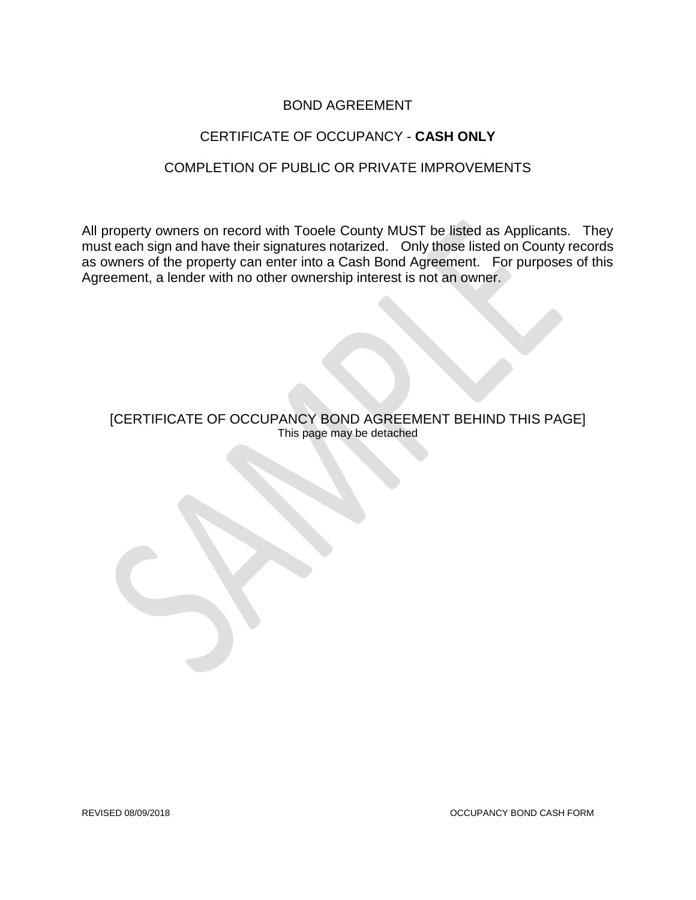#### BOND AGREEMENT

## CERTIFICATE OF OCCUPANCY - **CASH ONLY**

#### COMPLETION OF PUBLIC OR PRIVATE IMPROVEMENTS

All property owners on record with Tooele County MUST be listed as Applicants. They must each sign and have their signatures notarized. Only those listed on County records as owners of the property can enter into a Cash Bond Agreement. For purposes of this Agreement, a lender with no other ownership interest is not an owner.

[CERTIFICATE OF OCCUPANCY BOND AGREEMENT BEHIND THIS PAGE] This page may be detached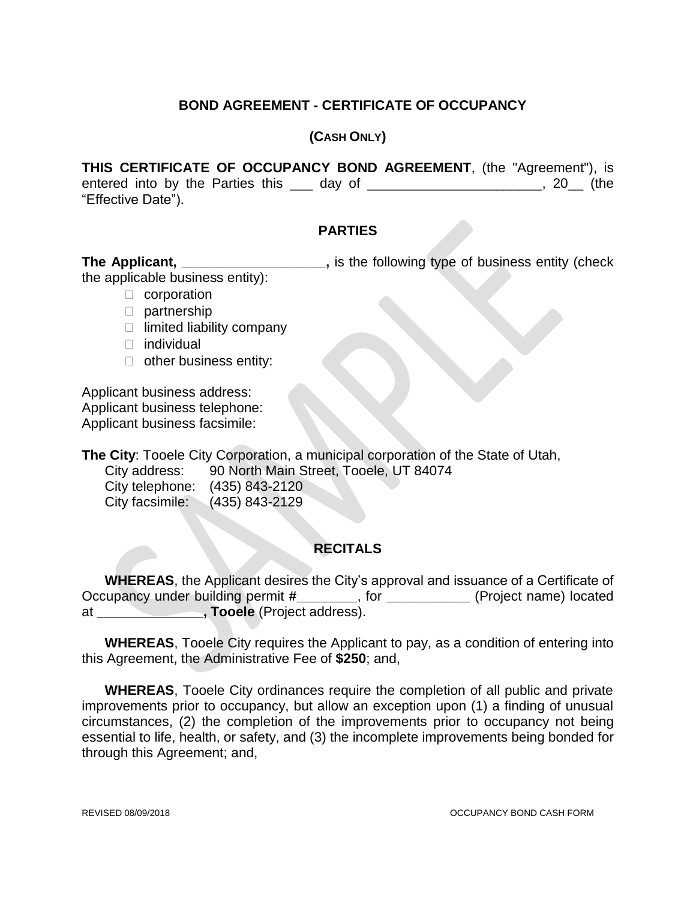### **BOND AGREEMENT - CERTIFICATE OF OCCUPANCY**

#### **(CASH ONLY)**

**THIS CERTIFICATE OF OCCUPANCY BOND AGREEMENT**, (the "Agreement"), is entered into by the Parties this \_\_\_ day of \_\_\_\_\_\_\_\_\_\_\_\_\_\_\_\_\_\_\_\_\_\_, 20\_\_ (the "Effective Date").

#### **PARTIES**

**The Applicant, \_\_\_\_\_\_\_\_\_\_\_\_\_\_\_\_\_\_\_,** is the following type of business entity (check the applicable business entity):

- $\Box$  corporation
- D partnership
- $\Box$  limited liability company
- □ individual
- $\Box$  other business entity:

Applicant business address: Applicant business telephone: Applicant business facsimile:

**The City**: Tooele City Corporation, a municipal corporation of the State of Utah, City address: 90 North Main Street, Tooele, UT 84074 City telephone: (435) 843-2120

City facsimile: (435) 843-2129

### **RECITALS**

**WHEREAS**, the Applicant desires the City's approval and issuance of a Certificate of Occupancy under building permit **#\_\_\_\_\_\_\_\_**, for **\_\_\_\_\_\_\_\_\_\_\_** (Project name) located at **\_\_\_\_\_\_\_\_\_\_\_\_\_\_, Tooele** (Project address).

**WHEREAS**, Tooele City requires the Applicant to pay, as a condition of entering into this Agreement, the Administrative Fee of **\$250**; and,

**WHEREAS**, Tooele City ordinances require the completion of all public and private improvements prior to occupancy, but allow an exception upon (1) a finding of unusual circumstances, (2) the completion of the improvements prior to occupancy not being essential to life, health, or safety, and (3) the incomplete improvements being bonded for through this Agreement; and,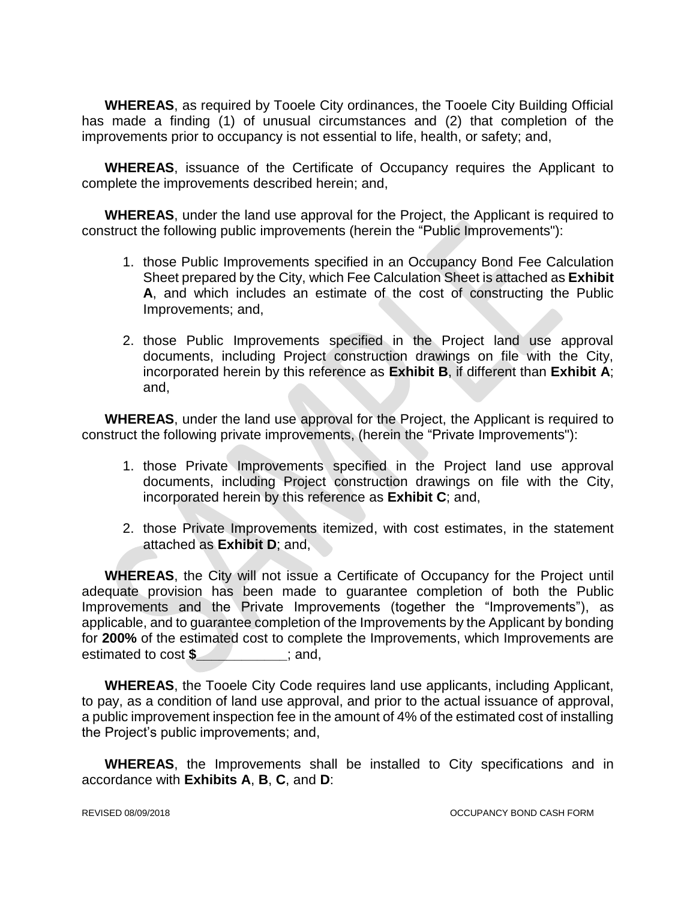**WHEREAS**, as required by Tooele City ordinances, the Tooele City Building Official has made a finding (1) of unusual circumstances and (2) that completion of the improvements prior to occupancy is not essential to life, health, or safety; and,

**WHEREAS**, issuance of the Certificate of Occupancy requires the Applicant to complete the improvements described herein; and,

**WHEREAS**, under the land use approval for the Project, the Applicant is required to construct the following public improvements (herein the "Public Improvements"):

- 1. those Public Improvements specified in an Occupancy Bond Fee Calculation Sheet prepared by the City, which Fee Calculation Sheet is attached as **Exhibit A**, and which includes an estimate of the cost of constructing the Public Improvements; and,
- 2. those Public Improvements specified in the Project land use approval documents, including Project construction drawings on file with the City, incorporated herein by this reference as **Exhibit B**, if different than **Exhibit A**; and,

**WHEREAS**, under the land use approval for the Project, the Applicant is required to construct the following private improvements, (herein the "Private Improvements"):

- 1. those Private Improvements specified in the Project land use approval documents, including Project construction drawings on file with the City, incorporated herein by this reference as **Exhibit C**; and,
- 2. those Private Improvements itemized, with cost estimates, in the statement attached as **Exhibit D**; and,

**WHEREAS**, the City will not issue a Certificate of Occupancy for the Project until adequate provision has been made to guarantee completion of both the Public Improvements and the Private Improvements (together the "Improvements"), as applicable, and to guarantee completion of the Improvements by the Applicant by bonding for **200%** of the estimated cost to complete the Improvements, which Improvements are estimated to cost \$ \_\_\_\_\_\_\_\_\_; and,

**WHEREAS**, the Tooele City Code requires land use applicants, including Applicant, to pay, as a condition of land use approval, and prior to the actual issuance of approval, a public improvement inspection fee in the amount of 4% of the estimated cost of installing the Project's public improvements; and,

**WHEREAS**, the Improvements shall be installed to City specifications and in accordance with **Exhibits A**, **B**, **C**, and **D**: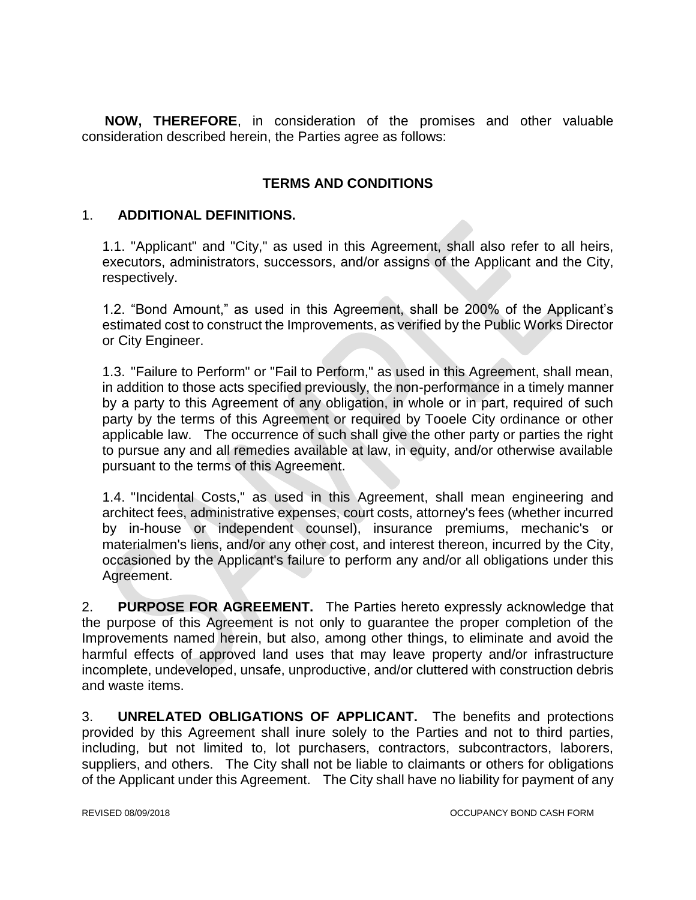**NOW, THEREFORE**, in consideration of the promises and other valuable consideration described herein, the Parties agree as follows:

## **TERMS AND CONDITIONS**

#### 1. **ADDITIONAL DEFINITIONS.**

1.1. "Applicant" and "City," as used in this Agreement, shall also refer to all heirs, executors, administrators, successors, and/or assigns of the Applicant and the City, respectively.

1.2. "Bond Amount," as used in this Agreement, shall be 200% of the Applicant's estimated cost to construct the Improvements, as verified by the Public Works Director or City Engineer.

1.3. "Failure to Perform" or "Fail to Perform," as used in this Agreement, shall mean, in addition to those acts specified previously, the non-performance in a timely manner by a party to this Agreement of any obligation, in whole or in part, required of such party by the terms of this Agreement or required by Tooele City ordinance or other applicable law. The occurrence of such shall give the other party or parties the right to pursue any and all remedies available at law, in equity, and/or otherwise available pursuant to the terms of this Agreement.

1.4. "Incidental Costs," as used in this Agreement, shall mean engineering and architect fees, administrative expenses, court costs, attorney's fees (whether incurred by in-house or independent counsel), insurance premiums, mechanic's or materialmen's liens, and/or any other cost, and interest thereon, incurred by the City, occasioned by the Applicant's failure to perform any and/or all obligations under this Agreement.

2. **PURPOSE FOR AGREEMENT.** The Parties hereto expressly acknowledge that the purpose of this Agreement is not only to guarantee the proper completion of the Improvements named herein, but also, among other things, to eliminate and avoid the harmful effects of approved land uses that may leave property and/or infrastructure incomplete, undeveloped, unsafe, unproductive, and/or cluttered with construction debris and waste items.

3. **UNRELATED OBLIGATIONS OF APPLICANT.** The benefits and protections provided by this Agreement shall inure solely to the Parties and not to third parties, including, but not limited to, lot purchasers, contractors, subcontractors, laborers, suppliers, and others. The City shall not be liable to claimants or others for obligations of the Applicant under this Agreement. The City shall have no liability for payment of any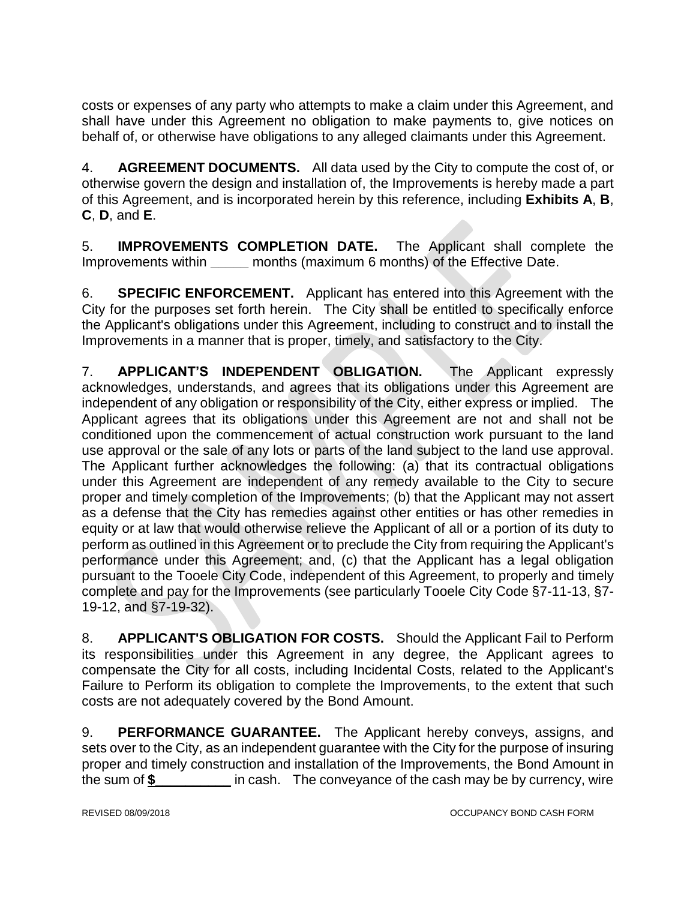costs or expenses of any party who attempts to make a claim under this Agreement, and shall have under this Agreement no obligation to make payments to, give notices on behalf of, or otherwise have obligations to any alleged claimants under this Agreement.

4. **AGREEMENT DOCUMENTS.** All data used by the City to compute the cost of, or otherwise govern the design and installation of, the Improvements is hereby made a part of this Agreement, and is incorporated herein by this reference, including **Exhibits A**, **B**, **C**, **D**, and **E**.

5. **IMPROVEMENTS COMPLETION DATE.** The Applicant shall complete the Improvements within **\_\_\_\_\_** months (maximum 6 months) of the Effective Date.

6. **SPECIFIC ENFORCEMENT.** Applicant has entered into this Agreement with the City for the purposes set forth herein. The City shall be entitled to specifically enforce the Applicant's obligations under this Agreement, including to construct and to install the Improvements in a manner that is proper, timely, and satisfactory to the City.

7. **APPLICANT'S INDEPENDENT OBLIGATION.** The Applicant expressly acknowledges, understands, and agrees that its obligations under this Agreement are independent of any obligation or responsibility of the City, either express or implied. The Applicant agrees that its obligations under this Agreement are not and shall not be conditioned upon the commencement of actual construction work pursuant to the land use approval or the sale of any lots or parts of the land subject to the land use approval. The Applicant further acknowledges the following: (a) that its contractual obligations under this Agreement are independent of any remedy available to the City to secure proper and timely completion of the Improvements; (b) that the Applicant may not assert as a defense that the City has remedies against other entities or has other remedies in equity or at law that would otherwise relieve the Applicant of all or a portion of its duty to perform as outlined in this Agreement or to preclude the City from requiring the Applicant's performance under this Agreement; and, (c) that the Applicant has a legal obligation pursuant to the Tooele City Code, independent of this Agreement, to properly and timely complete and pay for the Improvements (see particularly Tooele City Code §7-11-13, §7- 19-12, and §7-19-32).

8. **APPLICANT'S OBLIGATION FOR COSTS.** Should the Applicant Fail to Perform its responsibilities under this Agreement in any degree, the Applicant agrees to compensate the City for all costs, including Incidental Costs, related to the Applicant's Failure to Perform its obligation to complete the Improvements, to the extent that such costs are not adequately covered by the Bond Amount.

9. **PERFORMANCE GUARANTEE.** The Applicant hereby conveys, assigns, and sets over to the City, as an independent guarantee with the City for the purpose of insuring proper and timely construction and installation of the Improvements, the Bond Amount in the sum of **\$\_\_\_\_\_\_\_\_\_\_** in cash. The conveyance of the cash may be by currency, wire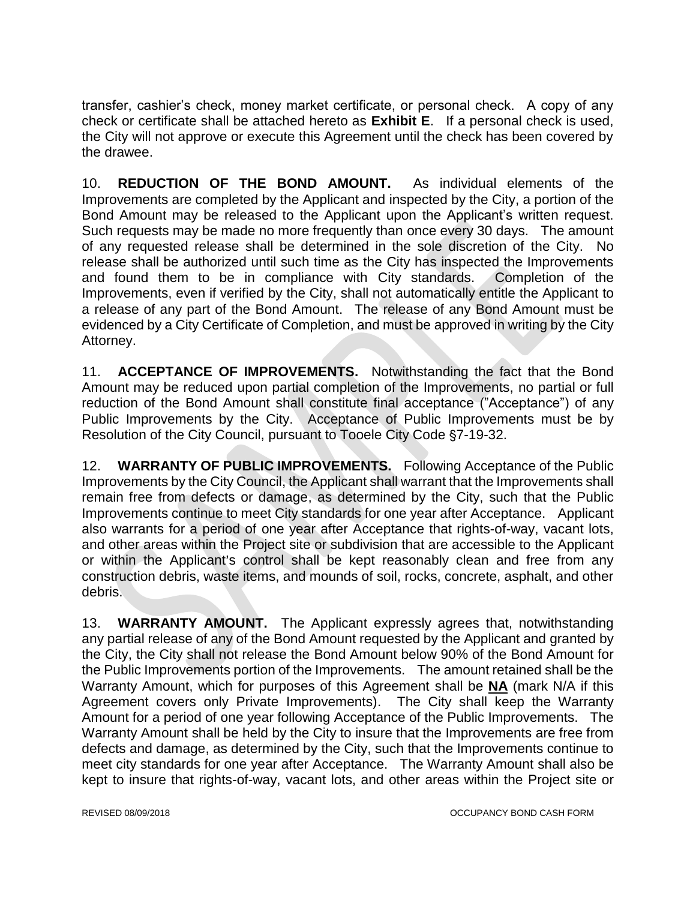transfer, cashier's check, money market certificate, or personal check. A copy of any check or certificate shall be attached hereto as **Exhibit E**. If a personal check is used, the City will not approve or execute this Agreement until the check has been covered by the drawee.

10. **REDUCTION OF THE BOND AMOUNT.** As individual elements of the Improvements are completed by the Applicant and inspected by the City, a portion of the Bond Amount may be released to the Applicant upon the Applicant's written request. Such requests may be made no more frequently than once every 30 days. The amount of any requested release shall be determined in the sole discretion of the City. No release shall be authorized until such time as the City has inspected the Improvements and found them to be in compliance with City standards. Completion of the Improvements, even if verified by the City, shall not automatically entitle the Applicant to a release of any part of the Bond Amount. The release of any Bond Amount must be evidenced by a City Certificate of Completion, and must be approved in writing by the City Attorney.

11. **ACCEPTANCE OF IMPROVEMENTS.** Notwithstanding the fact that the Bond Amount may be reduced upon partial completion of the Improvements, no partial or full reduction of the Bond Amount shall constitute final acceptance ("Acceptance") of any Public Improvements by the City. Acceptance of Public Improvements must be by Resolution of the City Council, pursuant to Tooele City Code §7-19-32.

12. **WARRANTY OF PUBLIC IMPROVEMENTS.** Following Acceptance of the Public Improvements by the City Council, the Applicant shall warrant that the Improvements shall remain free from defects or damage, as determined by the City, such that the Public Improvements continue to meet City standards for one year after Acceptance. Applicant also warrants for a period of one year after Acceptance that rights-of-way, vacant lots, and other areas within the Project site or subdivision that are accessible to the Applicant or within the Applicant's control shall be kept reasonably clean and free from any construction debris, waste items, and mounds of soil, rocks, concrete, asphalt, and other debris.

13. **WARRANTY AMOUNT.** The Applicant expressly agrees that, notwithstanding any partial release of any of the Bond Amount requested by the Applicant and granted by the City, the City shall not release the Bond Amount below 90% of the Bond Amount for the Public Improvements portion of the Improvements. The amount retained shall be the Warranty Amount, which for purposes of this Agreement shall be **NA** (mark N/A if this Agreement covers only Private Improvements). The City shall keep the Warranty Amount for a period of one year following Acceptance of the Public Improvements. The Warranty Amount shall be held by the City to insure that the Improvements are free from defects and damage, as determined by the City, such that the Improvements continue to meet city standards for one year after Acceptance. The Warranty Amount shall also be kept to insure that rights-of-way, vacant lots, and other areas within the Project site or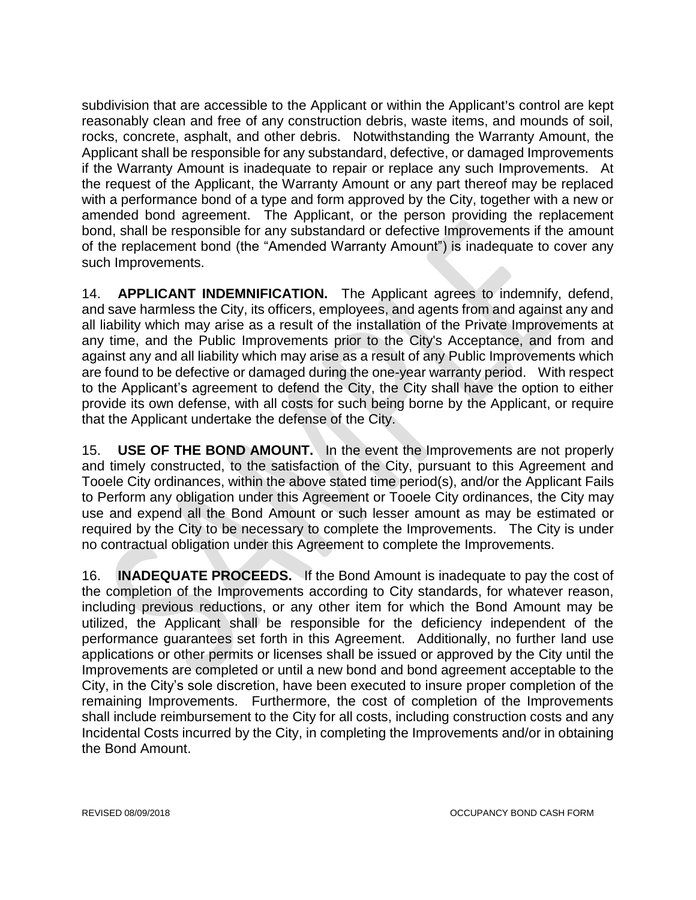subdivision that are accessible to the Applicant or within the Applicant's control are kept reasonably clean and free of any construction debris, waste items, and mounds of soil, rocks, concrete, asphalt, and other debris. Notwithstanding the Warranty Amount, the Applicant shall be responsible for any substandard, defective, or damaged Improvements if the Warranty Amount is inadequate to repair or replace any such Improvements. At the request of the Applicant, the Warranty Amount or any part thereof may be replaced with a performance bond of a type and form approved by the City, together with a new or amended bond agreement. The Applicant, or the person providing the replacement bond, shall be responsible for any substandard or defective Improvements if the amount of the replacement bond (the "Amended Warranty Amount") is inadequate to cover any such Improvements.

14. **APPLICANT INDEMNIFICATION.** The Applicant agrees to indemnify, defend, and save harmless the City, its officers, employees, and agents from and against any and all liability which may arise as a result of the installation of the Private Improvements at any time, and the Public Improvements prior to the City's Acceptance, and from and against any and all liability which may arise as a result of any Public Improvements which are found to be defective or damaged during the one-year warranty period. With respect to the Applicant's agreement to defend the City, the City shall have the option to either provide its own defense, with all costs for such being borne by the Applicant, or require that the Applicant undertake the defense of the City.

15. **USE OF THE BOND AMOUNT.** In the event the Improvements are not properly and timely constructed, to the satisfaction of the City, pursuant to this Agreement and Tooele City ordinances, within the above stated time period(s), and/or the Applicant Fails to Perform any obligation under this Agreement or Tooele City ordinances, the City may use and expend all the Bond Amount or such lesser amount as may be estimated or required by the City to be necessary to complete the Improvements. The City is under no contractual obligation under this Agreement to complete the Improvements.

16. **INADEQUATE PROCEEDS.** If the Bond Amount is inadequate to pay the cost of the completion of the Improvements according to City standards, for whatever reason, including previous reductions, or any other item for which the Bond Amount may be utilized, the Applicant shall be responsible for the deficiency independent of the performance guarantees set forth in this Agreement. Additionally, no further land use applications or other permits or licenses shall be issued or approved by the City until the Improvements are completed or until a new bond and bond agreement acceptable to the City, in the City's sole discretion, have been executed to insure proper completion of the remaining Improvements. Furthermore, the cost of completion of the Improvements shall include reimbursement to the City for all costs, including construction costs and any Incidental Costs incurred by the City, in completing the Improvements and/or in obtaining the Bond Amount.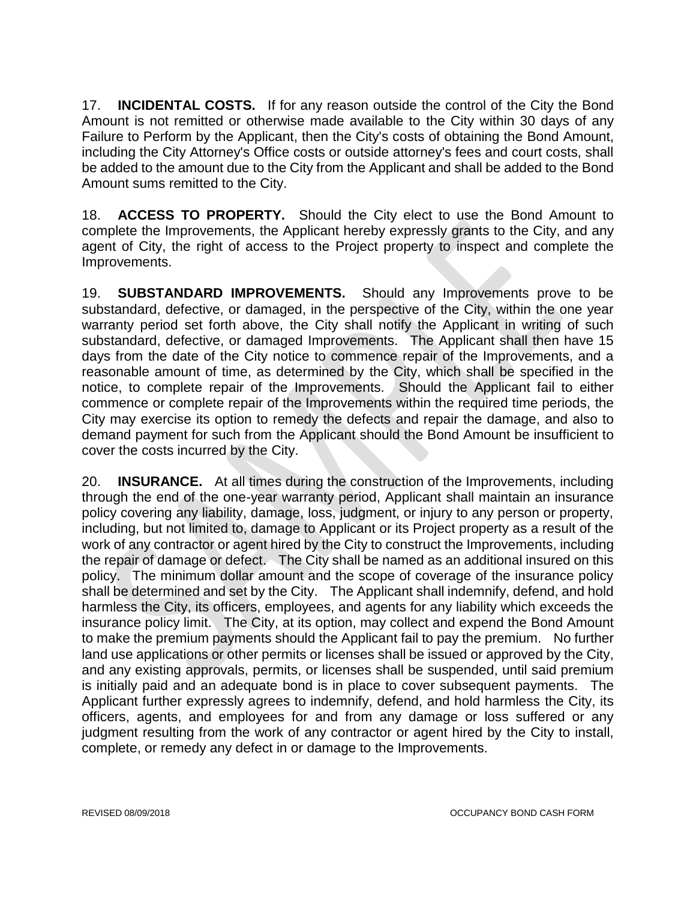17. **INCIDENTAL COSTS.** If for any reason outside the control of the City the Bond Amount is not remitted or otherwise made available to the City within 30 days of any Failure to Perform by the Applicant, then the City's costs of obtaining the Bond Amount, including the City Attorney's Office costs or outside attorney's fees and court costs, shall be added to the amount due to the City from the Applicant and shall be added to the Bond Amount sums remitted to the City.

18. **ACCESS TO PROPERTY.** Should the City elect to use the Bond Amount to complete the Improvements, the Applicant hereby expressly grants to the City, and any agent of City, the right of access to the Project property to inspect and complete the Improvements.

19. **SUBSTANDARD IMPROVEMENTS.** Should any Improvements prove to be substandard, defective, or damaged, in the perspective of the City, within the one year warranty period set forth above, the City shall notify the Applicant in writing of such substandard, defective, or damaged Improvements. The Applicant shall then have 15 days from the date of the City notice to commence repair of the Improvements, and a reasonable amount of time, as determined by the City, which shall be specified in the notice, to complete repair of the Improvements. Should the Applicant fail to either commence or complete repair of the Improvements within the required time periods, the City may exercise its option to remedy the defects and repair the damage, and also to demand payment for such from the Applicant should the Bond Amount be insufficient to cover the costs incurred by the City.

20. **INSURANCE.** At all times during the construction of the Improvements, including through the end of the one-year warranty period, Applicant shall maintain an insurance policy covering any liability, damage, loss, judgment, or injury to any person or property, including, but not limited to, damage to Applicant or its Project property as a result of the work of any contractor or agent hired by the City to construct the Improvements, including the repair of damage or defect. The City shall be named as an additional insured on this policy. The minimum dollar amount and the scope of coverage of the insurance policy shall be determined and set by the City. The Applicant shall indemnify, defend, and hold harmless the City, its officers, employees, and agents for any liability which exceeds the insurance policy limit. The City, at its option, may collect and expend the Bond Amount to make the premium payments should the Applicant fail to pay the premium. No further land use applications or other permits or licenses shall be issued or approved by the City, and any existing approvals, permits, or licenses shall be suspended, until said premium is initially paid and an adequate bond is in place to cover subsequent payments. The Applicant further expressly agrees to indemnify, defend, and hold harmless the City, its officers, agents, and employees for and from any damage or loss suffered or any judgment resulting from the work of any contractor or agent hired by the City to install, complete, or remedy any defect in or damage to the Improvements.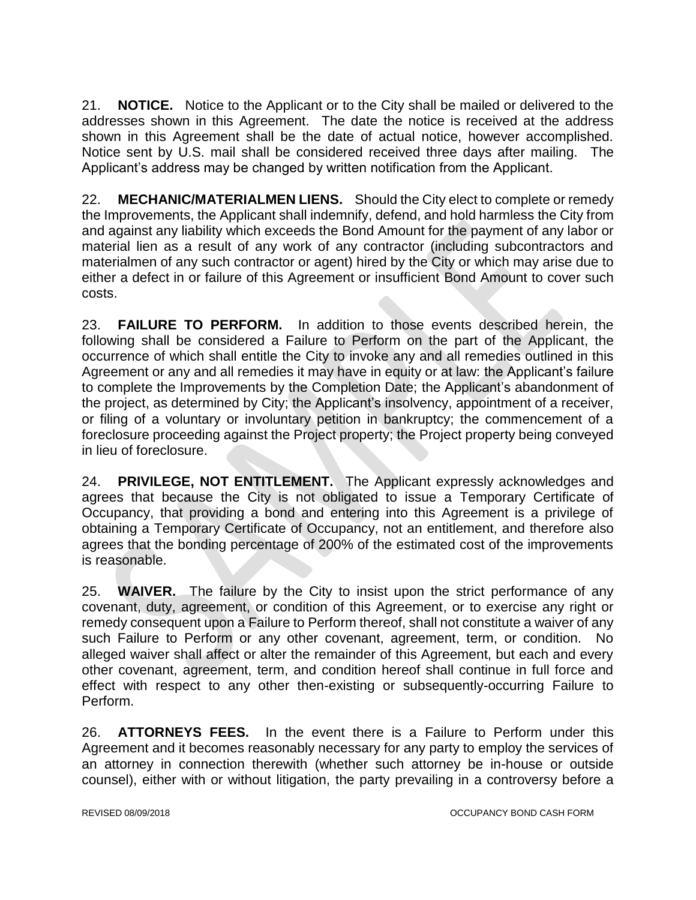21. **NOTICE.** Notice to the Applicant or to the City shall be mailed or delivered to the addresses shown in this Agreement. The date the notice is received at the address shown in this Agreement shall be the date of actual notice, however accomplished. Notice sent by U.S. mail shall be considered received three days after mailing. The Applicant's address may be changed by written notification from the Applicant.

22. **MECHANIC/MATERIALMEN LIENS.** Should the City elect to complete or remedy the Improvements, the Applicant shall indemnify, defend, and hold harmless the City from and against any liability which exceeds the Bond Amount for the payment of any labor or material lien as a result of any work of any contractor (including subcontractors and materialmen of any such contractor or agent) hired by the City or which may arise due to either a defect in or failure of this Agreement or insufficient Bond Amount to cover such costs.

23. **FAILURE TO PERFORM.** In addition to those events described herein, the following shall be considered a Failure to Perform on the part of the Applicant, the occurrence of which shall entitle the City to invoke any and all remedies outlined in this Agreement or any and all remedies it may have in equity or at law: the Applicant's failure to complete the Improvements by the Completion Date; the Applicant's abandonment of the project, as determined by City; the Applicant's insolvency, appointment of a receiver, or filing of a voluntary or involuntary petition in bankruptcy; the commencement of a foreclosure proceeding against the Project property; the Project property being conveyed in lieu of foreclosure.

24. **PRIVILEGE, NOT ENTITLEMENT.** The Applicant expressly acknowledges and agrees that because the City is not obligated to issue a Temporary Certificate of Occupancy, that providing a bond and entering into this Agreement is a privilege of obtaining a Temporary Certificate of Occupancy, not an entitlement, and therefore also agrees that the bonding percentage of 200% of the estimated cost of the improvements is reasonable.

25. **WAIVER.** The failure by the City to insist upon the strict performance of any covenant, duty, agreement, or condition of this Agreement, or to exercise any right or remedy consequent upon a Failure to Perform thereof, shall not constitute a waiver of any such Failure to Perform or any other covenant, agreement, term, or condition. No alleged waiver shall affect or alter the remainder of this Agreement, but each and every other covenant, agreement, term, and condition hereof shall continue in full force and effect with respect to any other then-existing or subsequently-occurring Failure to Perform.

26. **ATTORNEYS FEES.** In the event there is a Failure to Perform under this Agreement and it becomes reasonably necessary for any party to employ the services of an attorney in connection therewith (whether such attorney be in-house or outside counsel), either with or without litigation, the party prevailing in a controversy before a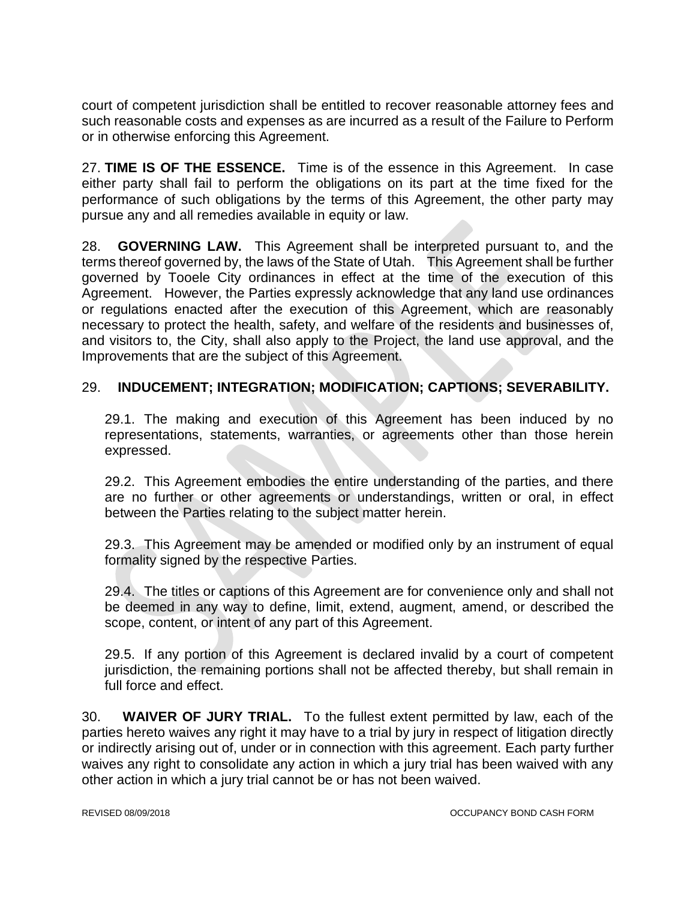court of competent jurisdiction shall be entitled to recover reasonable attorney fees and such reasonable costs and expenses as are incurred as a result of the Failure to Perform or in otherwise enforcing this Agreement.

27. **TIME IS OF THE ESSENCE.** Time is of the essence in this Agreement. In case either party shall fail to perform the obligations on its part at the time fixed for the performance of such obligations by the terms of this Agreement, the other party may pursue any and all remedies available in equity or law.

28. **GOVERNING LAW.** This Agreement shall be interpreted pursuant to, and the terms thereof governed by, the laws of the State of Utah. This Agreement shall be further governed by Tooele City ordinances in effect at the time of the execution of this Agreement. However, the Parties expressly acknowledge that any land use ordinances or regulations enacted after the execution of this Agreement, which are reasonably necessary to protect the health, safety, and welfare of the residents and businesses of, and visitors to, the City, shall also apply to the Project, the land use approval, and the Improvements that are the subject of this Agreement.

### 29. **INDUCEMENT; INTEGRATION; MODIFICATION; CAPTIONS; SEVERABILITY.**

29.1. The making and execution of this Agreement has been induced by no representations, statements, warranties, or agreements other than those herein expressed.

29.2. This Agreement embodies the entire understanding of the parties, and there are no further or other agreements or understandings, written or oral, in effect between the Parties relating to the subject matter herein.

29.3. This Agreement may be amended or modified only by an instrument of equal formality signed by the respective Parties.

29.4. The titles or captions of this Agreement are for convenience only and shall not be deemed in any way to define, limit, extend, augment, amend, or described the scope, content, or intent of any part of this Agreement.

29.5. If any portion of this Agreement is declared invalid by a court of competent jurisdiction, the remaining portions shall not be affected thereby, but shall remain in full force and effect.

30. **WAIVER OF JURY TRIAL.** To the fullest extent permitted by law, each of the parties hereto waives any right it may have to a trial by jury in respect of litigation directly or indirectly arising out of, under or in connection with this agreement. Each party further waives any right to consolidate any action in which a jury trial has been waived with any other action in which a jury trial cannot be or has not been waived.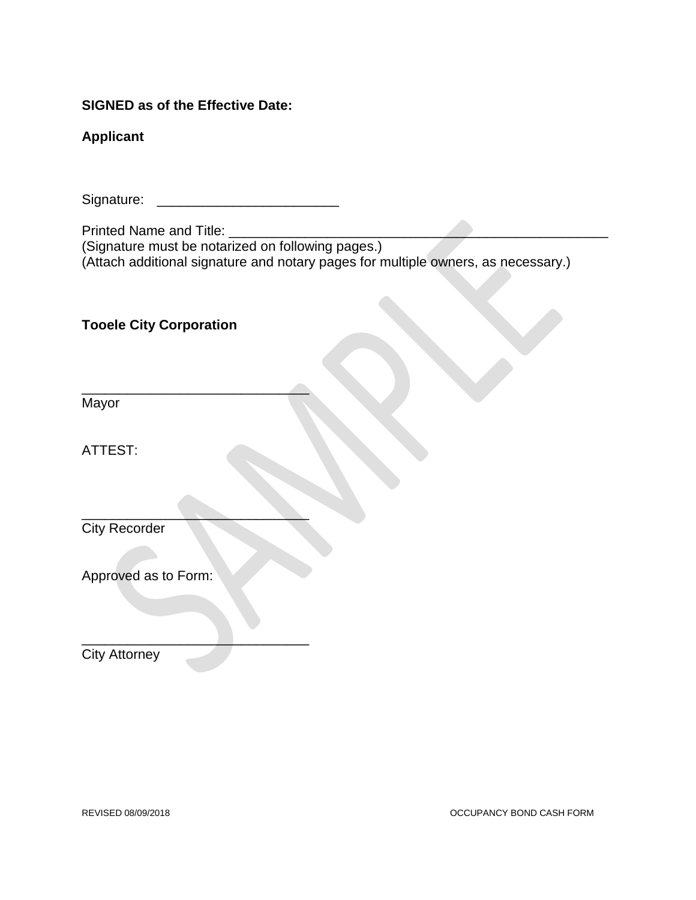#### **SIGNED as of the Effective Date:**

#### **Applicant**

Signature: \_\_\_\_\_\_\_\_\_\_\_\_\_\_\_\_\_\_\_\_\_\_\_\_

Printed Name and Title: \_\_\_\_\_\_\_\_

(Signature must be notarized on following pages.) (Attach additional signature and notary pages for multiple owners, as necessary.)

# **Tooele City Corporation**

 $\overbrace{\phantom{xxxxx}}$ 

 $\overline{\phantom{a}}$  , where  $\overline{\phantom{a}}$ 

\_\_\_\_\_\_\_\_\_\_\_\_\_\_\_\_\_\_\_\_\_\_\_\_\_\_\_\_\_\_

Mayor

ATTEST:

City Recorder

Approved as to Form:

City Attorney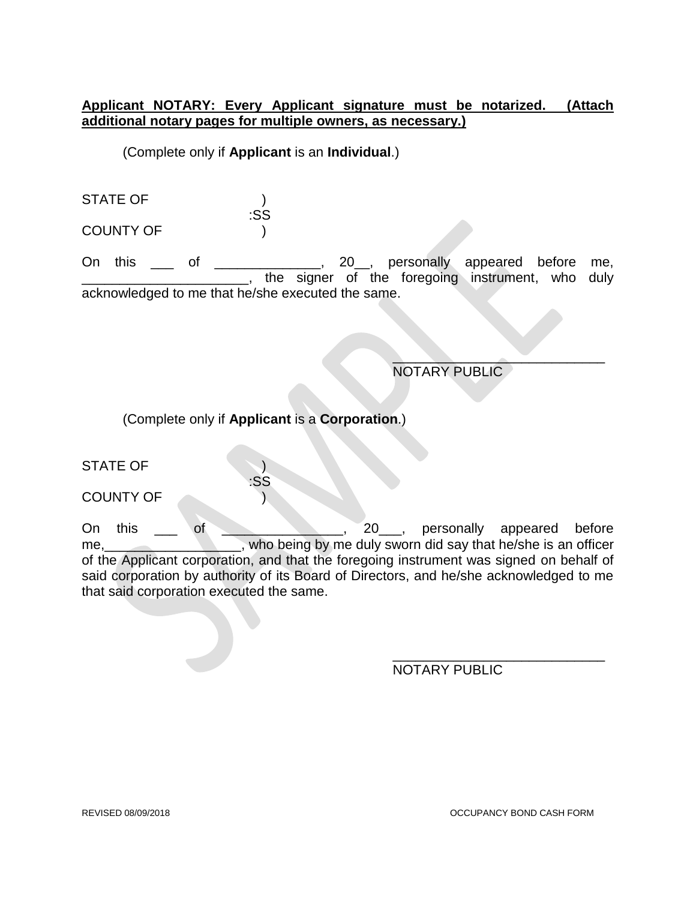#### **Applicant NOTARY: Every Applicant signature must be notarized. (Attach additional notary pages for multiple owners, as necessary.)**

(Complete only if **Applicant** is an **Individual**.)

STATE OF ) :SS COUNTY OF )

On this \_\_\_ of \_\_\_\_\_\_\_\_\_\_\_\_\_\_, 20\_\_, personally appeared before me, the signer of the foregoing instrument, who duly acknowledged to me that he/she executed the same.

> $\overline{\phantom{a}}$ NOTARY PUBLIC

(Complete only if **Applicant** is a **Corporation**.)

:SS

STATE OF )

COUNTY OF

On this \_\_\_ of \_\_\_\_\_\_\_\_\_\_\_\_\_\_\_, 20\_\_\_, personally appeared before me, who being by me duly sworn did say that he/she is an officer of the Applicant corporation, and that the foregoing instrument was signed on behalf of said corporation by authority of its Board of Directors, and he/she acknowledged to me that said corporation executed the same.

> \_\_\_\_\_\_\_\_\_\_\_\_\_\_\_\_\_\_\_\_\_\_\_\_\_\_\_\_ NOTARY PUBLIC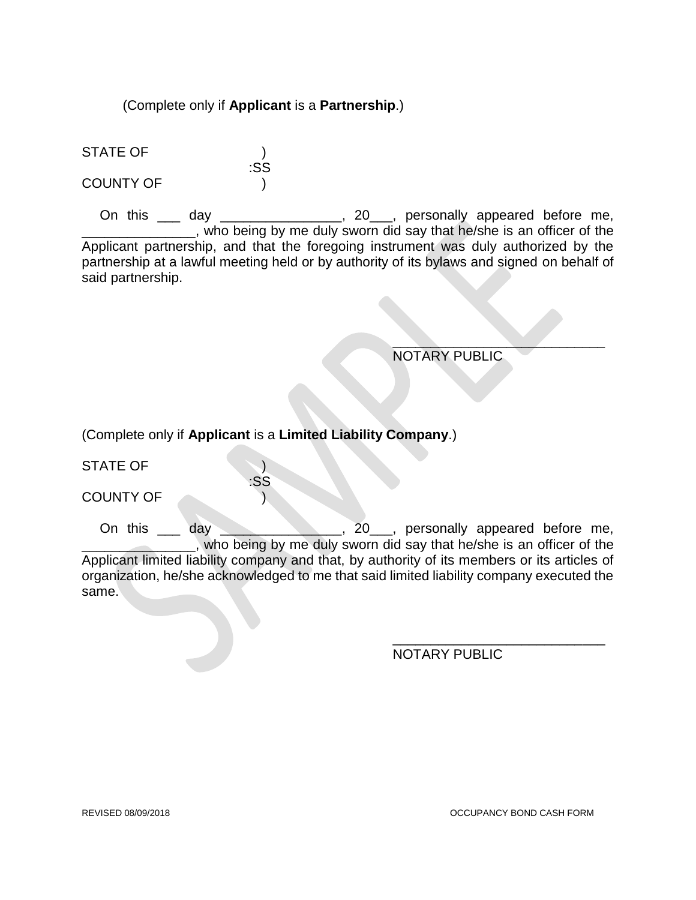(Complete only if **Applicant** is a **Partnership**.)

:SS

STATE OF ) COUNTY OF )

On this \_\_\_ day \_\_\_\_\_\_\_\_\_\_\_\_\_\_, 20\_\_\_, personally appeared before me, \_\_\_\_, who being by me duly sworn did say that he/she is an officer of the Applicant partnership, and that the foregoing instrument was duly authorized by the partnership at a lawful meeting held or by authority of its bylaws and signed on behalf of said partnership.

> $\mathcal{L}$  , we can expect the contract of the contract of the contract of the contract of the contract of the contract of the contract of the contract of the contract of the contract of the contract of the contract of the NOTARY PUBLIC

(Complete only if **Applicant** is a **Limited Liability Company**.)

:SS

STATE OF )

COUNTY OF )

On this \_\_\_ day \_\_\_\_\_\_\_\_\_\_\_\_, 20\_\_, personally appeared before me, \_\_\_\_\_\_\_\_\_\_\_\_\_\_\_, who being by me duly sworn did say that he/she is an officer of the Applicant limited liability company and that, by authority of its members or its articles of organization, he/she acknowledged to me that said limited liability company executed the same.

NOTARY PUBLIC

\_\_\_\_\_\_\_\_\_\_\_\_\_\_\_\_\_\_\_\_\_\_\_\_\_\_\_\_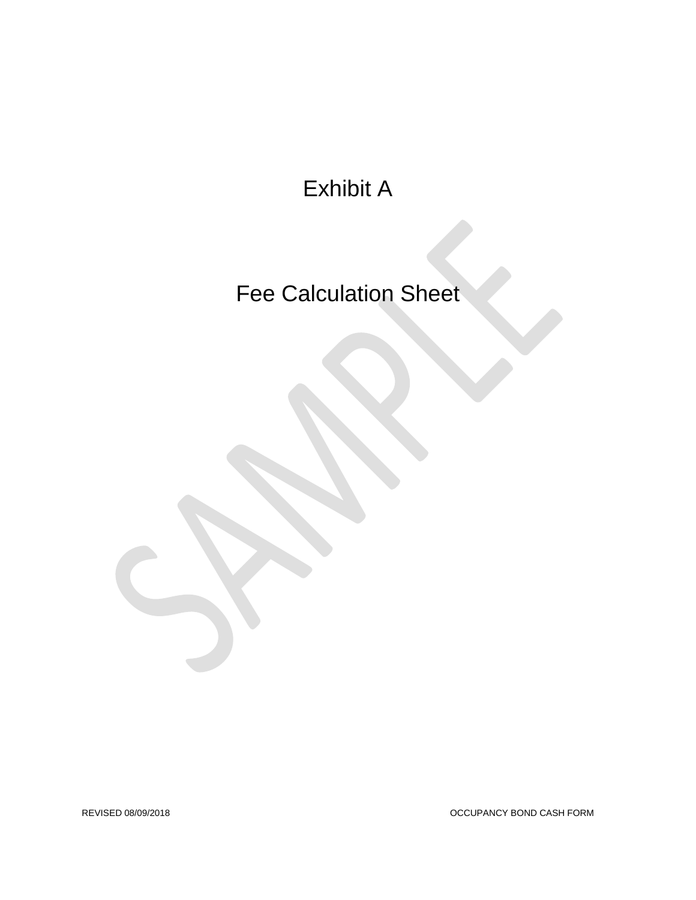Exhibit A

Fee Calculation Sheet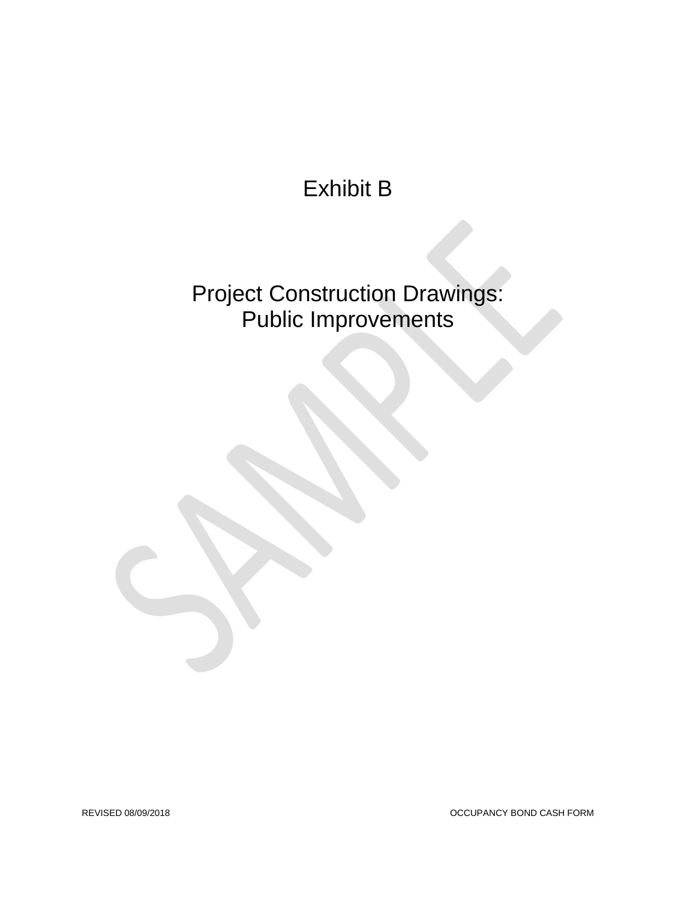Exhibit B

Project Construction Drawings: Public Improvements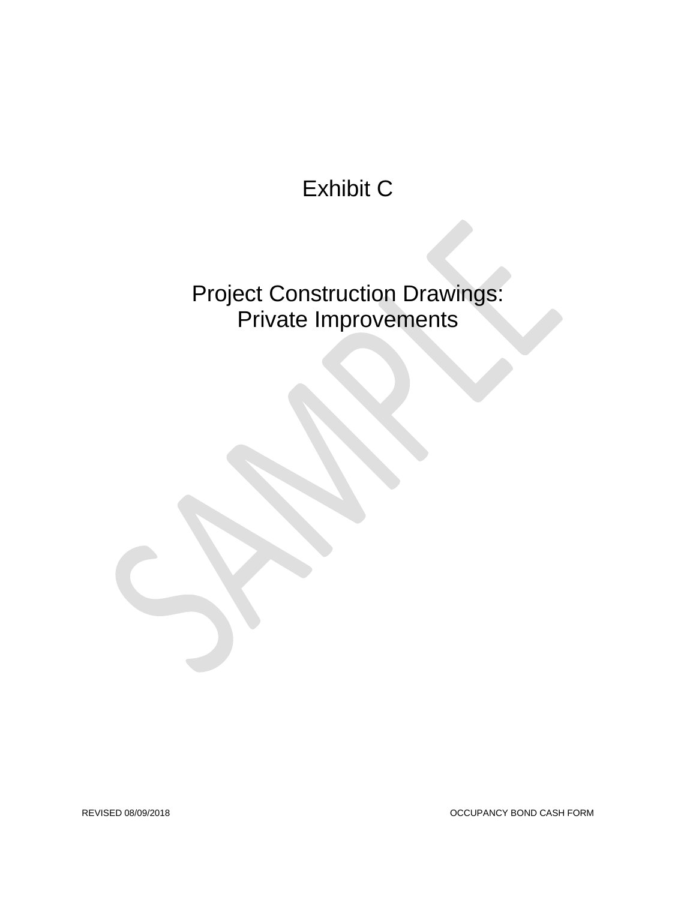# Exhibit C

Project Construction Drawings: Private Improvements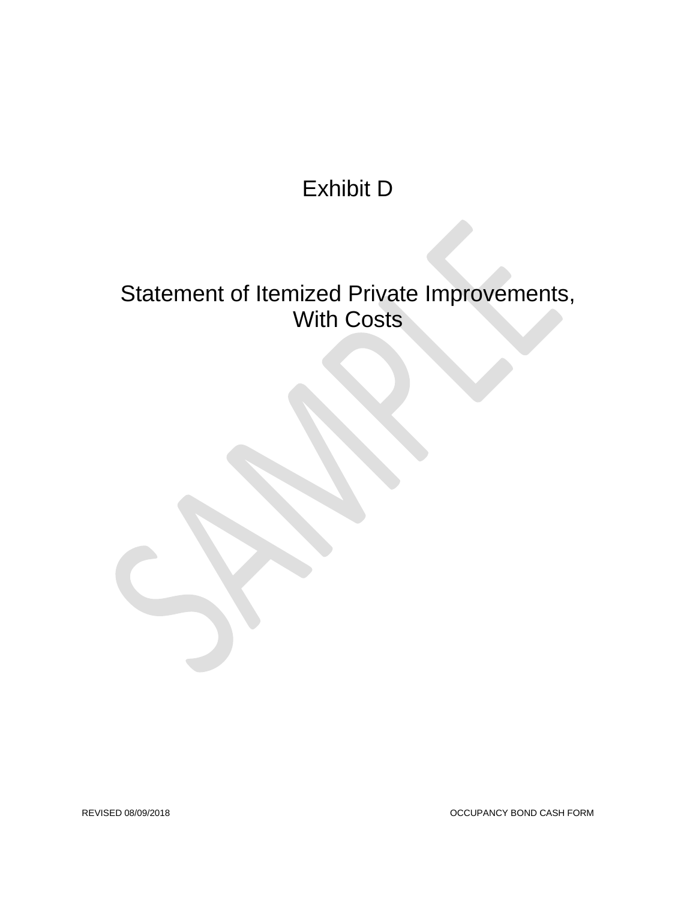# Exhibit D

# Statement of Itemized Private Improvements, With Costs